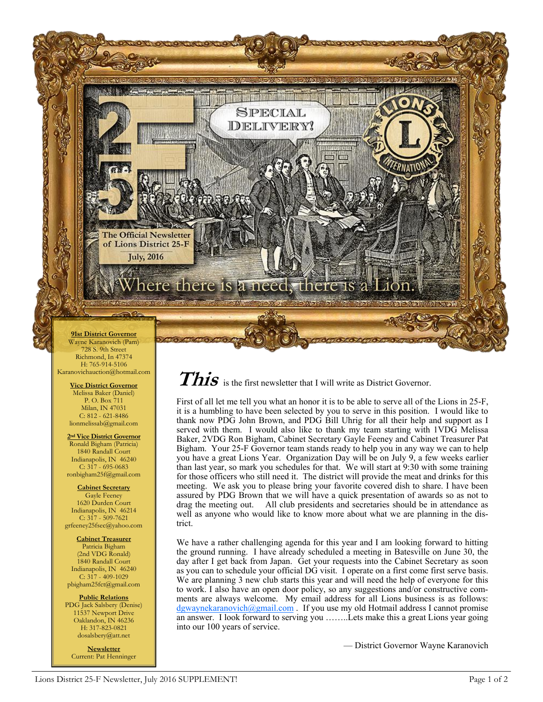

728 S. 9th Street Richmond, In 47374 H: 765-914-5106 Karanovichauction@hotmail.com

> **Vice District Governor** Melissa Baker (Daniel) P. O. Box 711 Milan, IN 47031 C: 812 - 621-8486 lionmelissab@gmail.com

**2nd Vice District Governor** Ronald Bigham (Patricia) 1840 Randall Court Indianapolis, IN 46240  $C: 317 - 695 - 0683$ ronbigham25f@gmail.com

**Cabinet Secretary** Gayle Feeney 1620 Durden Court Indianapolis, IN 46214  $C: 317 - 509 - 7621$ grfeeney25fsec@yahoo.com

**Cabinet Treasurer** Patricia Bigham (2nd VDG Ronald) 1840 Randall Court Indianapolis, IN 46240  $C: 317 - 409 - 1029$ pbigham25fct@gmail.com

**Public Relations** PDG Jack Salsbery (Denise) 11537 Newport Drive Oaklandon, IN 46236 H: 317-823-0821 dosalsbery@att.net

**Newsletter** Current: Pat Henninger This is the first newsletter that I will write as District Governor.

First of all let me tell you what an honor it is to be able to serve all of the Lions in 25-F, it is a humbling to have been selected by you to serve in this position. I would like to thank now PDG John Brown, and PDG Bill Uhrig for all their help and support as I served with them. I would also like to thank my team starting with 1VDG Melissa Baker, 2VDG Ron Bigham, Cabinet Secretary Gayle Feeney and Cabinet Treasurer Pat Bigham. Your 25-F Governor team stands ready to help you in any way we can to help you have a great Lions Year. Organization Day will be on July 9, a few weeks earlier than last year, so mark you schedules for that. We will start at 9:30 with some training for those officers who still need it. The district will provide the meat and drinks for this meeting. We ask you to please bring your favorite covered dish to share. I have been assured by PDG Brown that we will have a quick presentation of awards so as not to drag the meeting out. All club presidents and secretaries should be in attendance as well as anyone who would like to know more about what we are planning in the district.

We have a rather challenging agenda for this year and I am looking forward to hitting the ground running. I have already scheduled a meeting in Batesville on June 30, the day after I get back from Japan. Get your requests into the Cabinet Secretary as soon as you can to schedule your official DG visit. I operate on a first come first serve basis. We are planning 3 new club starts this year and will need the help of everyone for this to work. I also have an open door policy, so any suggestions and/or constructive comments are always welcome. My email address for all Lions business is as follows: [dgwaynekaranovich@gmail.com](mailto:dgwaynekaranovich@gmail.com) . If you use my old Hotmail address I cannot promise an answer. I look forward to serving you ……..Lets make this a great Lions year going into our 100 years of service.

— District Governor Wayne Karanovich